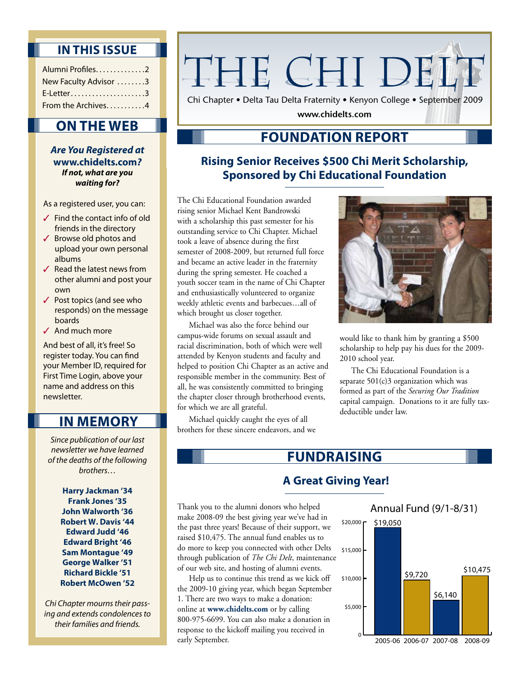### **In this Issue**

| Alumni Profiles. 2    |  |
|-----------------------|--|
| New Faculty Advisor 3 |  |
| $E$ -Letter3          |  |
| From the Archives4    |  |

# **On the Web**

*Are You Registered at*  **www.chidelts.com***? If not, what are you waiting for?*

As a registered user, you can:

- $\checkmark$  Find the contact info of old friends in the directory
- ✓ Browse old photos and upload your own personal albums
- $\checkmark$  Read the latest news from other alumni and post your own
- ✓ Post topics (and see who responds) on the message boards
- ✓ And much more

And best of all, it's free! So register today. You can find your Member ID, required for First Time Login, above your name and address on this newsletter.

# **In Memory**

*Since publication of our last newsletter we have learned of the deaths of the following brothers…*

> **Harry Jackman '34 Frank Jones '35 John Walworth '36 Robert W. Davis '44 Edward Judd '46 Edward Bright '46 Sam Montague '49 George Walker '51 Richard Bickle '51 Robert McOwen '52**

*Chi Chapter mourns their passing and extends condolences to their families and friends.*

# THE CHI DELT

Chi Chapter • Delta Tau Delta Fraternity • Kenyon College • September 2009

**www.chidelts.com**

# **Foundation Report**

## **Rising Senior Receives \$500 Chi Merit Scholarship, Sponsored by Chi Educational Foundation**

The Chi Educational Foundation awarded rising senior Michael Kent Bandrowski with a scholarship this past semester for his outstanding service to Chi Chapter. Michael took a leave of absence during the first semester of 2008-2009, but returned full force and became an active leader in the fraternity during the spring semester. He coached a youth soccer team in the name of Chi Chapter and enthusiastically volunteered to organize weekly athletic events and barbecues…all of which brought us closer together.

Michael was also the force behind our campus-wide forums on sexual assault and racial discrimination, both of which were well attended by Kenyon students and faculty and helped to position Chi Chapter as an active and responsible member in the community. Best of all, he was consistently committed to bringing the chapter closer through brotherhood events, for which we are all grateful.

Michael quickly caught the eyes of all brothers for these sincere endeavors, and we



would like to thank him by granting a \$500 scholarship to help pay his dues for the 2009- 2010 school year.

The Chi Educational Foundation is a separate  $501(c)3$  organization which was formed as part of the *Securing Our Tradition*  capital campaign. Donations to it are fully taxdeductible under law.

# **Fundraising**

## **A Great Giving Year!**

Thank you to the alumni donors who helped make 2008-09 the best giving year we've had in the past three years! Because of their support, we raised \$10,475. The annual fund enables us to do more to keep you connected with other Delts through publication of *The Chi Delt*, maintenance of our web site, and hosting of alumni events.

Help us to continue this trend as we kick off the 2009-10 giving year, which began September 1. There are two ways to make a donation: online at **www.chidelts.com** or by calling 800-975-6699. You can also make a donation in response to the kickoff mailing you received in early September.

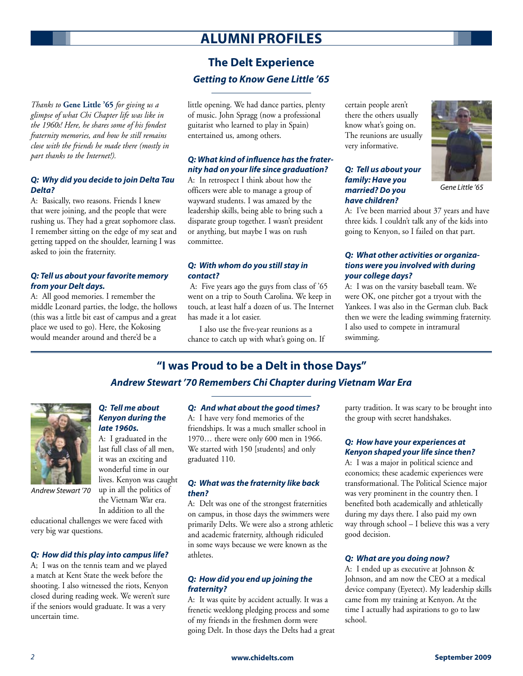# **Alumni Profiles**

## **The Delt Experience** *Getting to Know Gene Little '65*

*Thanks to* **Gene Little '65** *for giving us a glimpse of what Chi Chapter life was like in the 1960s! Here, he shares some of his fondest fraternity memories, and how he still remains close with the friends he made there (mostly in part thanks to the Internet!).*

#### *Q: Why did you decide to join Delta Tau Delta?*

A: Basically, two reasons. Friends I knew that were joining, and the people that were rushing us. They had a great sophomore class. I remember sitting on the edge of my seat and getting tapped on the shoulder, learning I was asked to join the fraternity.

#### *Q: Tell us about your favorite memory from your Delt days.*

A: All good memories. I remember the middle Leonard parties, the lodge, the hollows (this was a little bit east of campus and a great place we used to go). Here, the Kokosing would meander around and there'd be a

little opening. We had dance parties, plenty of music. John Spragg (now a professional guitarist who learned to play in Spain) entertained us, among others.

#### *Q: What kind of influence has the fraternity had on your life since graduation?*

A: In retrospect I think about how the officers were able to manage a group of wayward students. I was amazed by the leadership skills, being able to bring such a disparate group together. I wasn't president or anything, but maybe I was on rush committee.

#### *Q: With whom do you still stay in contact?*

 A: Five years ago the guys from class of '65 went on a trip to South Carolina. We keep in touch, at least half a dozen of us. The Internet has made it a lot easier.

I also use the five-year reunions as a chance to catch up with what's going on. If certain people aren't there the others usually know what's going on. The reunions are usually very informative.

#### *Q: Tell us about your family: Have you married? Do you have children?*



*Gene Little '65*

A: I've been married about 37 years and have three kids. I couldn't talk any of the kids into going to Kenyon, so I failed on that part.

#### *Q: What other activities or organizations were you involved with during your college days?*

A: I was on the varsity baseball team. We were OK, one pitcher got a tryout with the Yankees. I was also in the German club. Back then we were the leading swimming fraternity. I also used to compete in intramural swimming.

#### **"I was Proud to be a Delt in those Days"**

#### *Andrew Stewart '70 Remembers Chi Chapter during Vietnam War Era*



*Andrew Stewart '70*

very big war questions.

*Q: Tell me about Kenyon during the late 1960s.* 

A: I graduated in the last full class of all men, it was an exciting and wonderful time in our lives. Kenyon was caught up in all the politics of the Vietnam War era.

In addition to all the educational challenges we were faced with

# *Q: How did this play into campus life?*

A; I was on the tennis team and we played a match at Kent State the week before the shooting. I also witnessed the riots, Kenyon closed during reading week. We weren't sure if the seniors would graduate. It was a very uncertain time.

#### *Q: And what about the good times?*

A: I have very fond memories of the friendships. It was a much smaller school in 1970… there were only 600 men in 1966. We started with 150 [students] and only graduated 110.

#### *Q: What was the fraternity like back then?*

A: Delt was one of the strongest fraternities on campus, in those days the swimmers were primarily Delts. We were also a strong athletic and academic fraternity, although ridiculed in some ways because we were known as the athletes.

#### *Q: How did you end up joining the fraternity?*

A: It was quite by accident actually. It was a frenetic weeklong pledging process and some of my friends in the freshmen dorm were going Delt. In those days the Delts had a great party tradition. It was scary to be brought into the group with secret handshakes.

#### *Q: How have your experiences at Kenyon shaped your life since then?*

A: I was a major in political science and economics; these academic experiences were transformational. The Political Science major was very prominent in the country then. I benefited both academically and athletically during my days there. I also paid my own way through school – I believe this was a very good decision.

#### *Q: What are you doing now?*

A: I ended up as executive at Johnson & Johnson, and am now the CEO at a medical device company (Eyetect). My leadership skills came from my training at Kenyon. At the time I actually had aspirations to go to law school.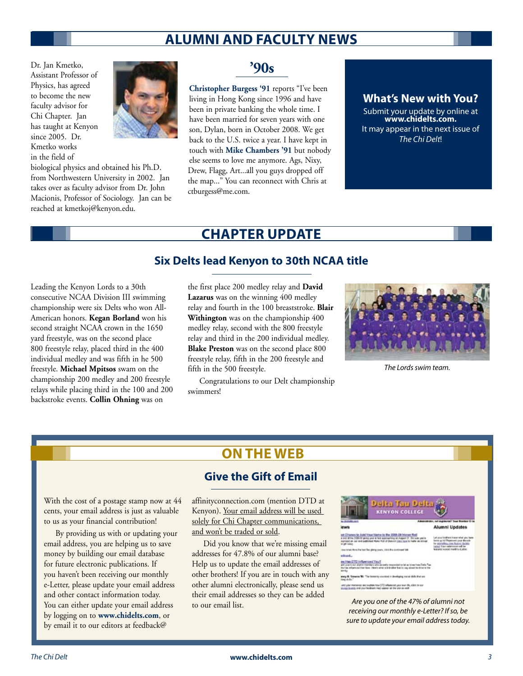# **Alumni and Faculty News**

Dr. Jan Kmetko, Assistant Professor of Physics, has agreed to become the new faculty advisor for Chi Chapter. Jan has taught at Kenyon since 2005. Dr. Kmetko works in the field of

biological physics and obtained his Ph.D. from Northwestern University in 2002. Jan takes over as faculty advisor from Dr. John Macionis, Professor of Sociology. Jan can be reached at kmetkoj@kenyon.edu.



**Christopher Burgess '91** reports "I've been living in Hong Kong since 1996 and have been in private banking the whole time. I have been married for seven years with one son, Dylan, born in October 2008. We get back to the U.S. twice a year. I have kept in touch with **Mike Chambers '91** but nobody else seems to love me anymore. Ags, Nixy, Drew, Flagg, Art...all you guys dropped off the map..." You can reconnect with Chris at ctburgess@me.com.

#### **What's New with You?**

Submit your update by online at **www.chidelts.com.** It may appear in the next issue of *The Chi Delt*!

# **Chapter Update**

#### **Six Delts lead Kenyon to 30th NCAA title**

Leading the Kenyon Lords to a 30th consecutive NCAA Division III swimming championship were six Delts who won All-American honors. **Kegan Borland** won his second straight NCAA crown in the 1650 yard freestyle, was on the second place 800 freestyle relay, placed third in the 400 individual medley and was fifth in he 500 freestyle. **Michael Mpitsos** swam on the championship 200 medley and 200 freestyle relays while placing third in the 100 and 200 backstroke events. **Collin Ohning** was on

the first place 200 medley relay and **David Lazarus** was on the winning 400 medley relay and fourth in the 100 breaststroke. **Blair Withington** was on the championship 400 medley relay, second with the 800 freestyle relay and third in the 200 individual medley. **Blake Preston** was on the second place 800 freestyle relay, fifth in the 200 freestyle and fifth in the 500 freestyle.

Congratulations to our Delt championship swimmers!



*The Lords swim team.*

# **On The Web**

#### **Give the Gift of Email**

With the cost of a postage stamp now at 44 cents, your email address is just as valuable to us as your financial contribution!

By providing us with or updating your email address, you are helping us to save money by building our email database for future electronic publications. If you haven't been receiving our monthly e-Letter, please update your email address and other contact information today. You can either update your email address by logging on to **www.chidelts.com**, or by email it to our editors at feedback@

affinityconnection.com (mention DTD at Kenyon). Your email address will be used solely for Chi Chapter communications, and won't be traded or sold.

Did you know that we're missing email addresses for 47.8% of our alumni base? Help us to update the email addresses of other brothers! If you are in touch with any other alumni electronically, please send us their email addresses so they can be added to our email list.



*Are you one of the 47% of alumni not receiving our monthly e-Letter? If so, be sure to update your email address today.*